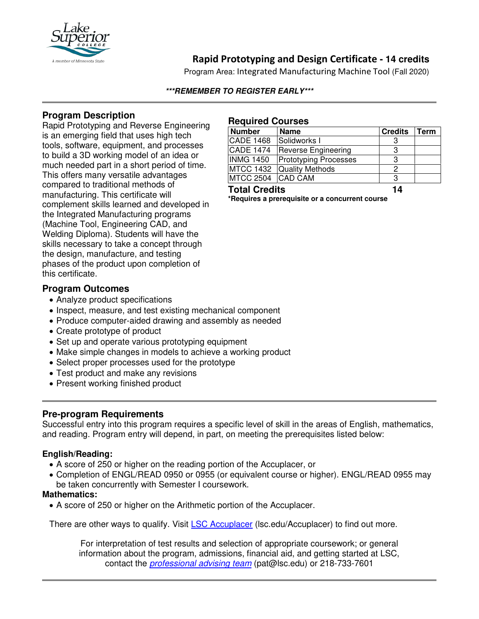

# **Rapid Prototyping and Design Certificate - 14 credits**

Program Area: Integrated Manufacturing Machine Tool (Fall 2020)

#### **\*\*\*REMEMBER TO REGISTER EARLY\*\*\***

## **Program Description**

Rapid Prototyping and Reverse Engineering is an emerging field that uses high tech tools, software, equipment, and processes to build a 3D working model of an idea or much needed part in a short period of time. This offers many versatile advantages compared to traditional methods of manufacturing. This certificate will complement skills learned and developed in the Integrated Manufacturing programs (Machine Tool, Engineering CAD, and Welding Diploma). Students will have the skills necessary to take a concept through the design, manufacture, and testing phases of the product upon completion of this certificate.

### **Program Outcomes**

- Analyze product specifications
- Inspect, measure, and test existing mechanical component
- Produce computer-aided drawing and assembly as needed
- Create prototype of product
- Set up and operate various prototyping equipment
- Make simple changes in models to achieve a working product
- Select proper processes used for the prototype
- Test product and make any revisions
- Present working finished product

## **Pre-program Requirements**

Successful entry into this program requires a specific level of skill in the areas of English, mathematics, and reading. Program entry will depend, in part, on meeting the prerequisites listed below:

#### **English/Reading:**

- A score of 250 or higher on the reading portion of the Accuplacer, or
- Completion of ENGL/READ 0950 or 0955 (or equivalent course or higher). ENGL/READ 0955 may be taken concurrently with Semester I coursework.

#### **Mathematics:**

• A score of 250 or higher on the Arithmetic portion of the Accuplacer.

There are other ways to qualify. Visit [LSC Accuplacer](https://www.lsc.edu/accuplacer/) (Isc.edu/Accuplacer) to find out more.

For interpretation of test results and selection of appropriate coursework; or general information about the program, admissions, financial aid, and getting started at LSC, contact the *[professional advising team](mailto:pat@lsc.edu)* (pat@lsc.edu) or 218-733-7601

#### **Required Courses**

| <b>Number</b>        | <b>Name</b>                  | <b>Credits</b> | Term |
|----------------------|------------------------------|----------------|------|
| <b>CADE 1468</b>     | Solidworks I                 |                |      |
| <b>CADE 1474</b>     | <b>Reverse Engineering</b>   |                |      |
| INMG 1450            | <b>Prototyping Processes</b> | 3              |      |
|                      | MTCC 1432 Quality Methods    |                |      |
| MTCC 2504 CAD CAM    |                              |                |      |
| <b>Total Credits</b> |                              | 14             |      |

**\*Requires a prerequisite or a concurrent course**